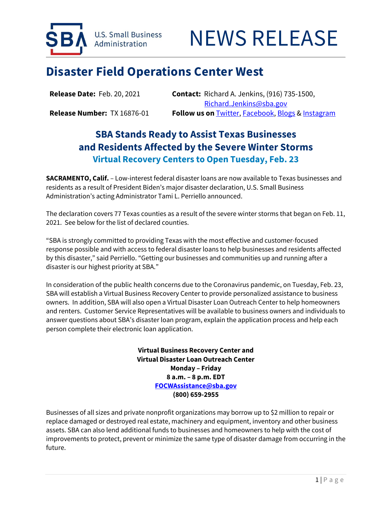

## **Disaster Field Operations Center West**

**Release Date:** Feb. 20, 2021 **Contact:** Richard A. Jenkins, (916) 735-1500, Richard.Jenkins@sba.gov **Release Number:** TX 16876-01 **Follow us on** Twitter, Facebook, Blogs & Instagram

## **SBA Stands Ready to Assist Texas Businesses and Residents Affected by the Severe Winter Storms Virtual Recovery Centers to Open Tuesday, Feb. 23**

**SACRAMENTO, Calif.** – Low-interest federal disaster loans are now available to Texas businesses and residents as a result of President Biden's major disaster declaration, U.S. Small Business Administration's acting Administrator Tami L. Perriello announced.

The declaration covers 77 Texas counties as a result of the severe winter storms that began on Feb. 11, 2021. See below for the list of declared counties.

"SBA is strongly committed to providing Texas with the most effective and customer-focused response possible and with access to federal disaster loans to help businesses and residents affected by this disaster," said Perriello. "Getting our businesses and communities up and running after a disaster is our highest priority at SBA."

In consideration of the public health concerns due to the Coronavirus pandemic, on Tuesday, Feb. 23, SBA will establish a Virtual Business Recovery Center to provide personalized assistance to business owners. In addition, SBA will also open a Virtual Disaster Loan Outreach Center to help homeowners and renters. Customer Service Representatives will be available to business owners and individuals to answer questions about SBA's disaster loan program, explain the application process and help each person complete their electronic loan application.

> **Virtual Business Recovery Center and Virtual Disaster Loan Outreach Center Monday – Friday 8 a.m. – 8 p.m. EDT FOCWAssistance@sba.gov (800) 659-2955**

Businesses of all sizes and private nonprofit organizations may borrow up to \$2 million to repair or replace damaged or destroyed real estate, machinery and equipment, inventory and other business assets. SBA can also lend additional funds to businesses and homeowners to help with the cost of improvements to protect, prevent or minimize the same type of disaster damage from occurring in the future.